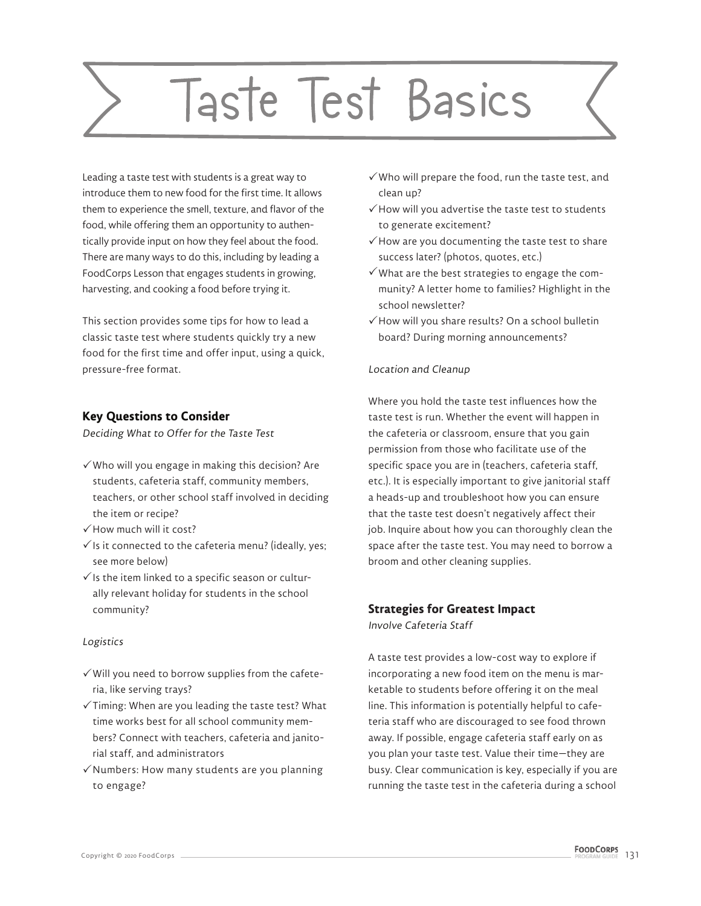# Taste Test Basics

Leading a taste test with students is a great way to introduce them to new food for the first time. It allows them to experience the smell, texture, and flavor of the food, while offering them an opportunity to authentically provide input on how they feel about the food. There are many ways to do this, including by leading a FoodCorps Lesson that engages students in growing, harvesting, and cooking a food before trying it.

This section provides some tips for how to lead a classic taste test where students quickly try a new food for the first time and offer input, using a quick, pressure-free format.

## **Key Questions to Consider**

Deciding What to Offer for the Taste Test

- $\checkmark$  Who will you engage in making this decision? Are students, cafeteria staff, community members, teachers, or other school staff involved in deciding the item or recipe?
- $\checkmark$  How much will it cost?
- $\checkmark$  is it connected to the cafeteria menu? (ideally, yes; see more below)
- $\checkmark$  Is the item linked to a specific season or culturally relevant holiday for students in the school community?

## Logistics

- $\checkmark$  Will you need to borrow supplies from the cafeteria, like serving trays?
- $\checkmark$  Timing: When are you leading the taste test? What time works best for all school community members? Connect with teachers, cafeteria and janitorial staff, and administrators
- $\checkmark$  Numbers: How many students are you planning to engage?
- $\checkmark$  Who will prepare the food, run the taste test, and clean up?
- $\checkmark$  How will you advertise the taste test to students to generate excitement?
- $\checkmark$  How are you documenting the taste test to share success later? (photos, quotes, etc.)
- $\checkmark$  What are the best strategies to engage the community? A letter home to families? Highlight in the school newsletter?
- $\checkmark$  How will you share results? On a school bulletin board? During morning announcements?

#### Location and Cleanup

Where you hold the taste test influences how the taste test is run. Whether the event will happen in the cafeteria or classroom, ensure that you gain permission from those who facilitate use of the specific space you are in (teachers, cafeteria staff, etc.). It is especially important to give janitorial staff a heads-up and troubleshoot how you can ensure that the taste test doesn't negatively affect their job. Inquire about how you can thoroughly clean the space after the taste test. You may need to borrow a broom and other cleaning supplies.

# **Strategies for Greatest Impact**

Involve Cafeteria Staff

A taste test provides a low-cost way to explore if incorporating a new food item on the menu is marketable to students before offering it on the meal line. This information is potentially helpful to cafeteria staff who are discouraged to see food thrown away. If possible, engage cafeteria staff early on as you plan your taste test. Value their time—they are busy. Clear communication is key, especially if you are running the taste test in the cafeteria during a school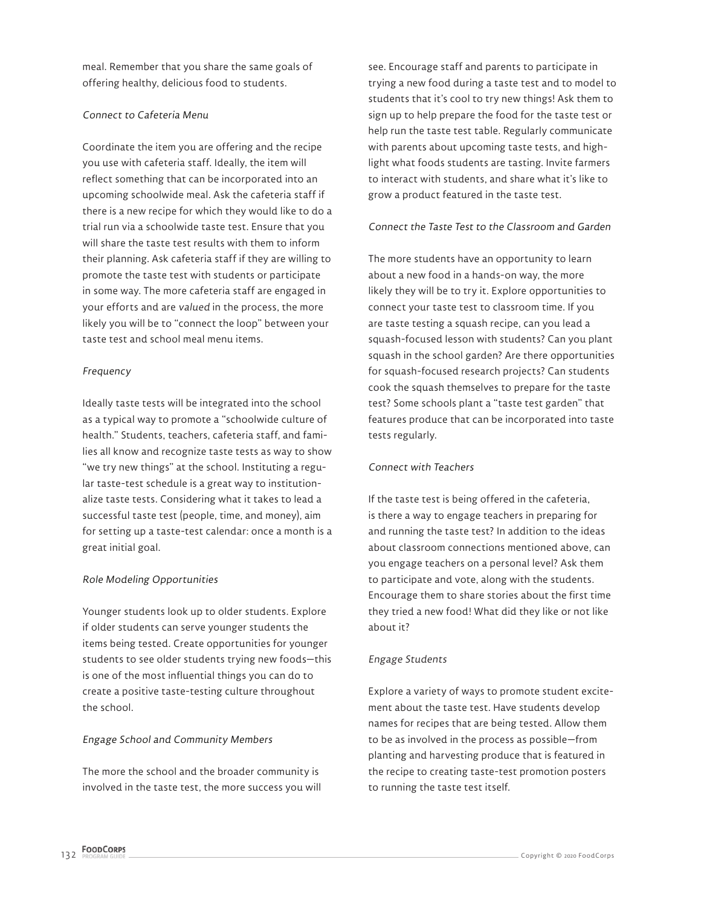meal. Remember that you share the same goals of offering healthy, delicious food to students.

#### Connect to Cafeteria Menu

Coordinate the item you are offering and the recipe you use with cafeteria staff. Ideally, the item will reflect something that can be incorporated into an upcoming schoolwide meal. Ask the cafeteria staff if there is a new recipe for which they would like to do a trial run via a schoolwide taste test. Ensure that you will share the taste test results with them to inform their planning. Ask cafeteria staff if they are willing to promote the taste test with students or participate in some way. The more cafeteria staff are engaged in your efforts and are valued in the process, the more likely you will be to "connect the loop" between your taste test and school meal menu items.

#### Frequency

Ideally taste tests will be integrated into the school as a typical way to promote a "schoolwide culture of health." Students, teachers, cafeteria staff, and families all know and recognize taste tests as way to show "we try new things" at the school. Instituting a regular taste-test schedule is a great way to institutionalize taste tests. Considering what it takes to lead a successful taste test (people, time, and money), aim for setting up a taste-test calendar: once a month is a great initial goal.

#### Role Modeling Opportunities

Younger students look up to older students. Explore if older students can serve younger students the items being tested. Create opportunities for younger students to see older students trying new foods—this is one of the most influential things you can do to create a positive taste-testing culture throughout the school.

#### Engage School and Community Members

The more the school and the broader community is involved in the taste test, the more success you will

see. Encourage staff and parents to participate in trying a new food during a taste test and to model to students that it's cool to try new things! Ask them to sign up to help prepare the food for the taste test or help run the taste test table. Regularly communicate with parents about upcoming taste tests, and highlight what foods students are tasting. Invite farmers to interact with students, and share what it's like to grow a product featured in the taste test.

#### Connect the Taste Test to the Classroom and Garden

The more students have an opportunity to learn about a new food in a hands-on way, the more likely they will be to try it. Explore opportunities to connect your taste test to classroom time. If you are taste testing a squash recipe, can you lead a squash-focused lesson with students? Can you plant squash in the school garden? Are there opportunities for squash-focused research projects? Can students cook the squash themselves to prepare for the taste test? Some schools plant a "taste test garden" that features produce that can be incorporated into taste tests regularly.

#### Connect with Teachers

If the taste test is being offered in the cafeteria, is there a way to engage teachers in preparing for and running the taste test? In addition to the ideas about classroom connections mentioned above, can you engage teachers on a personal level? Ask them to participate and vote, along with the students. Encourage them to share stories about the first time they tried a new food! What did they like or not like about it?

#### Engage Students

Explore a variety of ways to promote student excitement about the taste test. Have students develop names for recipes that are being tested. Allow them to be as involved in the process as possible—from planting and harvesting produce that is featured in the recipe to creating taste-test promotion posters to running the taste test itself.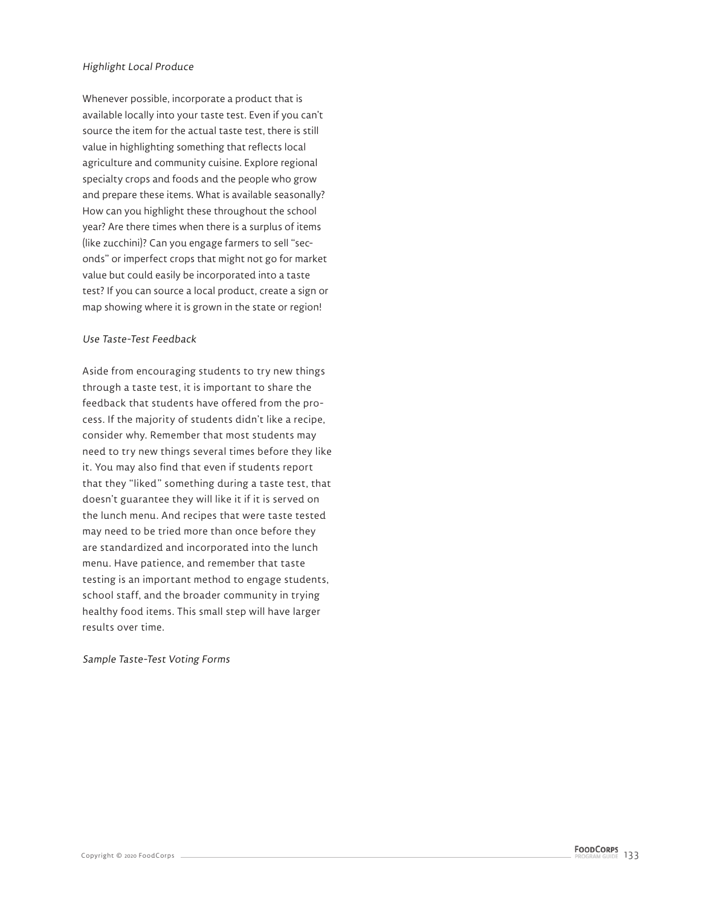#### Highlight Local Produce

Whenever possible, incorporate a product that is available locally into your taste test. Even if you can't source the item for the actual taste test, there is still value in highlighting something that reflects local agriculture and community cuisine. Explore regional specialty crops and foods and the people who grow and prepare these items. What is available seasonally? How can you highlight these throughout the school year? Are there times when there is a surplus of items (like zucchini)? Can you engage farmers to sell "seconds" or imperfect crops that might not go for market value but could easily be incorporated into a taste test? If you can source a local product, create a sign or map showing where it is grown in the state or region!

#### Use Taste-Test Feedback

Aside from encouraging students to try new things through a taste test, it is important to share the feedback that students have offered from the process. If the majority of students didn't like a recipe, consider why. Remember that most students may need to try new things several times before they like it. You may also find that even if students report that they "liked" something during a taste test, that doesn't guarantee they will like it if it is served on the lunch menu. And recipes that were taste tested may need to be tried more than once before they are standardized and incorporated into the lunch menu. Have patience, and remember that taste testing is an important method to engage students, school staff, and the broader community in trying healthy food items. This small step will have larger results over time.

#### Sample Taste-Test Voting Forms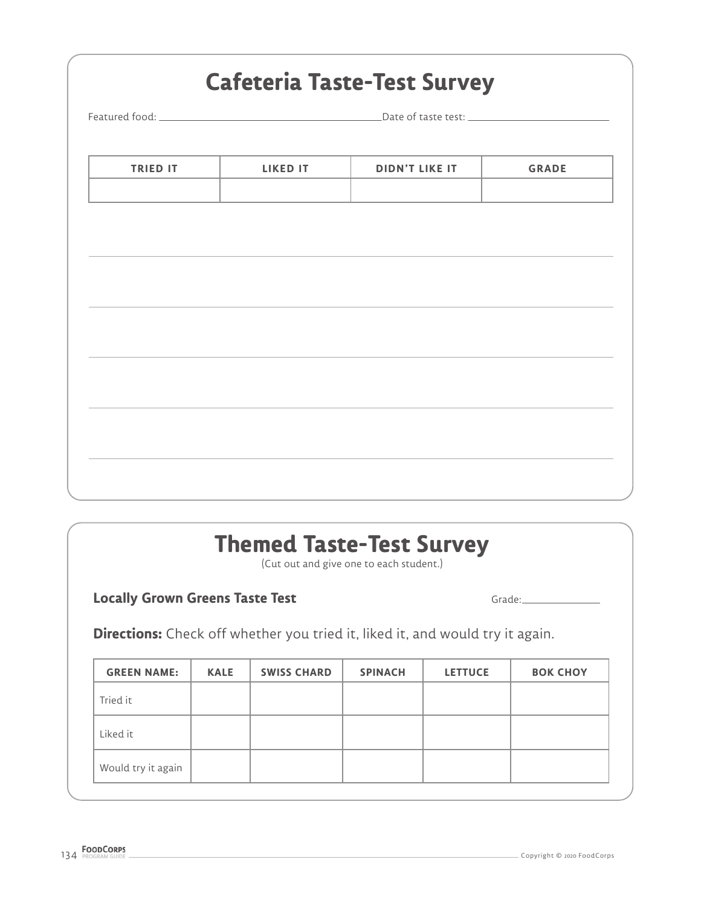|                 | <b>Cafeteria Taste-Test Survey</b> |                       |              |  |  |
|-----------------|------------------------------------|-----------------------|--------------|--|--|
|                 |                                    |                       |              |  |  |
|                 |                                    |                       |              |  |  |
| <b>TRIED IT</b> | <b>LIKED IT</b>                    | <b>DIDN'T LIKE IT</b> | <b>GRADE</b> |  |  |
|                 |                                    |                       |              |  |  |
|                 |                                    |                       |              |  |  |
|                 |                                    |                       |              |  |  |
|                 |                                    |                       |              |  |  |
|                 |                                    |                       |              |  |  |
|                 |                                    |                       |              |  |  |
|                 |                                    |                       |              |  |  |
|                 |                                    |                       |              |  |  |
|                 |                                    |                       |              |  |  |
|                 |                                    |                       |              |  |  |
|                 |                                    |                       |              |  |  |
|                 |                                    |                       |              |  |  |
|                 |                                    |                       |              |  |  |

# **Themed Taste-Test Survey**

(Cut out and give one to each student.)

# **Locally Grown Greens Taste Test Grade:** Grade: Grade:

**Directions:** Check off whether you tried it, liked it, and would try it again.

| <b>GREEN NAME:</b> | <b>KALE</b> | <b>SWISS CHARD</b> | <b>SPINACH</b> | <b>LETTUCE</b> | <b>BOK CHOY</b> |
|--------------------|-------------|--------------------|----------------|----------------|-----------------|
| Tried it           |             |                    |                |                |                 |
| Liked it           |             |                    |                |                |                 |
| Would try it again |             |                    |                |                |                 |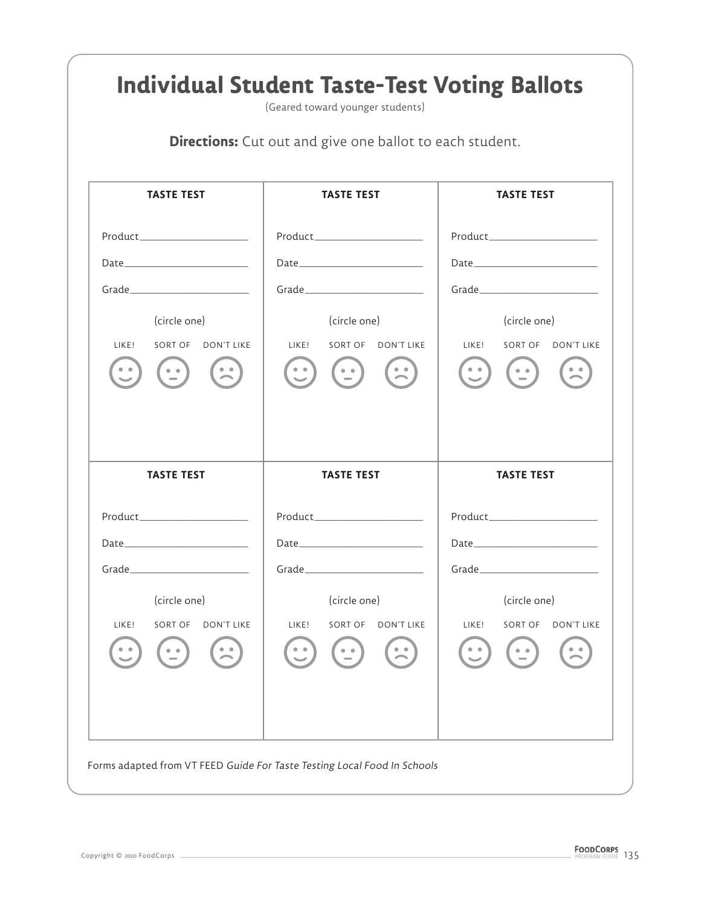| <b>Directions:</b> Cut out and give one ballot to each student.                                                                                                                                                                |                                                                                                     |                                                                                                                                                              |  |  |  |  |
|--------------------------------------------------------------------------------------------------------------------------------------------------------------------------------------------------------------------------------|-----------------------------------------------------------------------------------------------------|--------------------------------------------------------------------------------------------------------------------------------------------------------------|--|--|--|--|
| <b>TASTE TEST</b>                                                                                                                                                                                                              | <b>TASTE TEST</b>                                                                                   | <b>TASTE TEST</b>                                                                                                                                            |  |  |  |  |
|                                                                                                                                                                                                                                |                                                                                                     |                                                                                                                                                              |  |  |  |  |
|                                                                                                                                                                                                                                |                                                                                                     |                                                                                                                                                              |  |  |  |  |
|                                                                                                                                                                                                                                |                                                                                                     |                                                                                                                                                              |  |  |  |  |
| (circle one)                                                                                                                                                                                                                   | (circle one)                                                                                        | (circle one)                                                                                                                                                 |  |  |  |  |
| LIKE!<br>SORT OF DON'T LIKE                                                                                                                                                                                                    | LIKE!<br>SORT OF DON'T LIKE                                                                         | LIKE!<br>SORT OF DON'T LIKE                                                                                                                                  |  |  |  |  |
| $\mathbf{L}$<br>$\frac{1}{2}$                                                                                                                                                                                                  | $\begin{array}{c} \bullet & \bullet \\ \bullet & \bullet \end{array}$<br>$(\cdot)$<br>$\frac{1}{2}$ | $\begin{array}{cc} \bullet & \bullet \\ \bullet & \bullet \end{array}$<br>$\left(\begin{array}{c} \bullet & \bullet \\ \bullet & \bullet \end{array}\right)$ |  |  |  |  |
| <b>TASTE TEST</b>                                                                                                                                                                                                              | <b>TASTE TEST</b>                                                                                   | <b>TASTE TEST</b>                                                                                                                                            |  |  |  |  |
|                                                                                                                                                                                                                                |                                                                                                     |                                                                                                                                                              |  |  |  |  |
| Date and the contract of the contract of the contract of the contract of the contract of the contract of the contract of the contract of the contract of the contract of the contract of the contract of the contract of the c | Date                                                                                                |                                                                                                                                                              |  |  |  |  |
| Grade_________                                                                                                                                                                                                                 | Grade___________                                                                                    | Grade_______                                                                                                                                                 |  |  |  |  |
| (circle one)                                                                                                                                                                                                                   | (circle one)                                                                                        | (circle one)                                                                                                                                                 |  |  |  |  |
| LIKE!<br>SORT OF<br>DON'T LIKE                                                                                                                                                                                                 | LIKE!<br>SORT OF<br>DON'T LIKE                                                                      | LIKE!<br>SORT OF<br>DON'T LIKE                                                                                                                               |  |  |  |  |
|                                                                                                                                                                                                                                |                                                                                                     |                                                                                                                                                              |  |  |  |  |
|                                                                                                                                                                                                                                |                                                                                                     |                                                                                                                                                              |  |  |  |  |